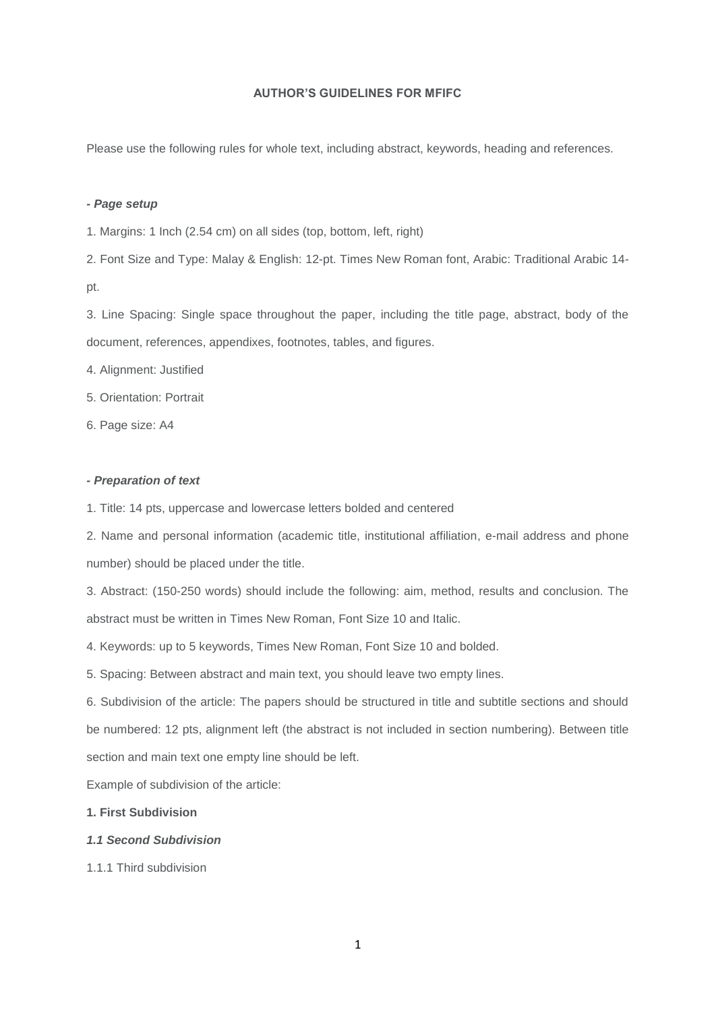### **AUTHOR'S GUIDELINES FOR MFIFC**

Please use the following rules for whole text, including abstract, keywords, heading and references.

## *- Page setup*

1. Margins: 1 Inch (2.54 cm) on all sides (top, bottom, left, right)

2. Font Size and Type: Malay & English: 12-pt. Times New Roman font, Arabic: Traditional Arabic 14 pt.

3. Line Spacing: Single space throughout the paper, including the title page, abstract, body of the document, references, appendixes, footnotes, tables, and figures.

4. Alignment: Justified

5. Orientation: Portrait

6. Page size: A4

# *- Preparation of text*

1. Title: 14 pts, uppercase and lowercase letters bolded and centered

2. Name and personal information (academic title, institutional affiliation, e-mail address and phone number) should be placed under the title.

3. Abstract: (150-250 words) should include the following: aim, method, results and conclusion. The abstract must be written in Times New Roman, Font Size 10 and Italic.

4. Keywords: up to 5 keywords, Times New Roman, Font Size 10 and bolded.

5. Spacing: Between abstract and main text, you should leave two empty lines.

6. Subdivision of the article: The papers should be structured in title and subtitle sections and should be numbered: 12 pts, alignment left (the abstract is not included in section numbering). Between title section and main text one empty line should be left.

Example of subdivision of the article:

**1. First Subdivision**

## *1.1 Second Subdivision*

1.1.1 Third subdivision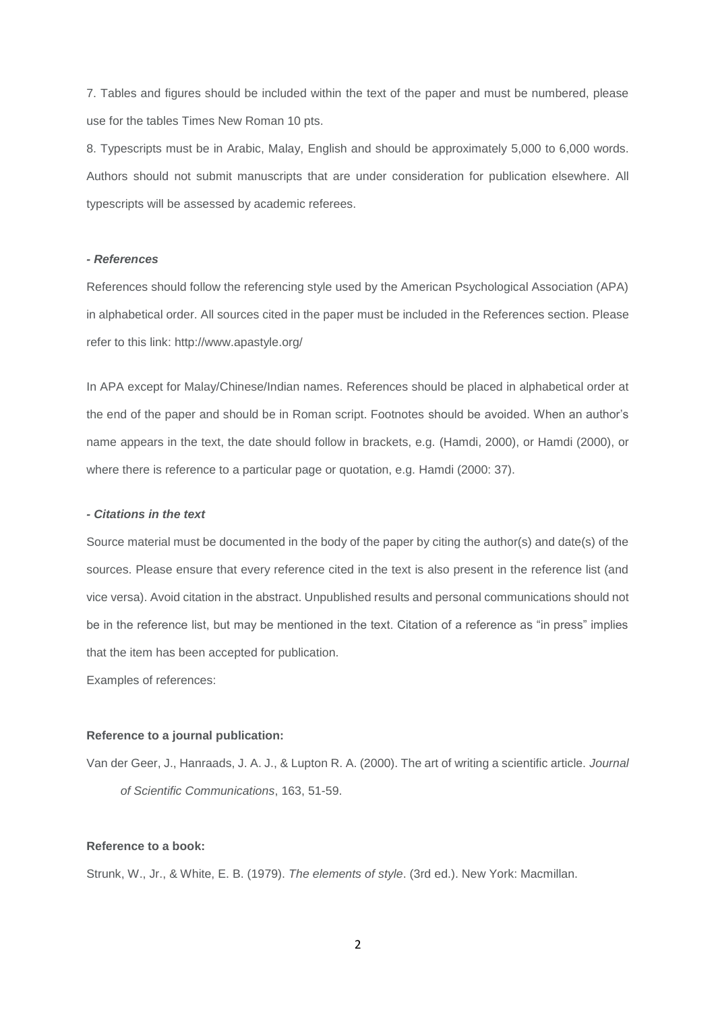7. Tables and figures should be included within the text of the paper and must be numbered, please use for the tables Times New Roman 10 pts.

8. Typescripts must be in Arabic, Malay, English and should be approximately 5,000 to 6,000 words. Authors should not submit manuscripts that are under consideration for publication elsewhere. All typescripts will be assessed by academic referees.

### *- References*

References should follow the referencing style used by the American Psychological Association (APA) in alphabetical order. All sources cited in the paper must be included in the References section. Please refer to this link: http://www.apastyle.org/

In APA except for Malay/Chinese/Indian names. References should be placed in alphabetical order at the end of the paper and should be in Roman script. Footnotes should be avoided. When an author's name appears in the text, the date should follow in brackets, e.g. (Hamdi, 2000), or Hamdi (2000), or where there is reference to a particular page or quotation, e.g. Hamdi (2000: 37).

#### *- Citations in the text*

Source material must be documented in the body of the paper by citing the author(s) and date(s) of the sources. Please ensure that every reference cited in the text is also present in the reference list (and vice versa). Avoid citation in the abstract. Unpublished results and personal communications should not be in the reference list, but may be mentioned in the text. Citation of a reference as "in press" implies that the item has been accepted for publication.

Examples of references:

### **Reference to a journal publication:**

Van der Geer, J., Hanraads, J. A. J., & Lupton R. A. (2000). The art of writing a scientific article. *Journal of Scientific Communications*, 163, 51-59.

### **Reference to a book:**

Strunk, W., Jr., & White, E. B. (1979). *The elements of style*. (3rd ed.). New York: Macmillan.